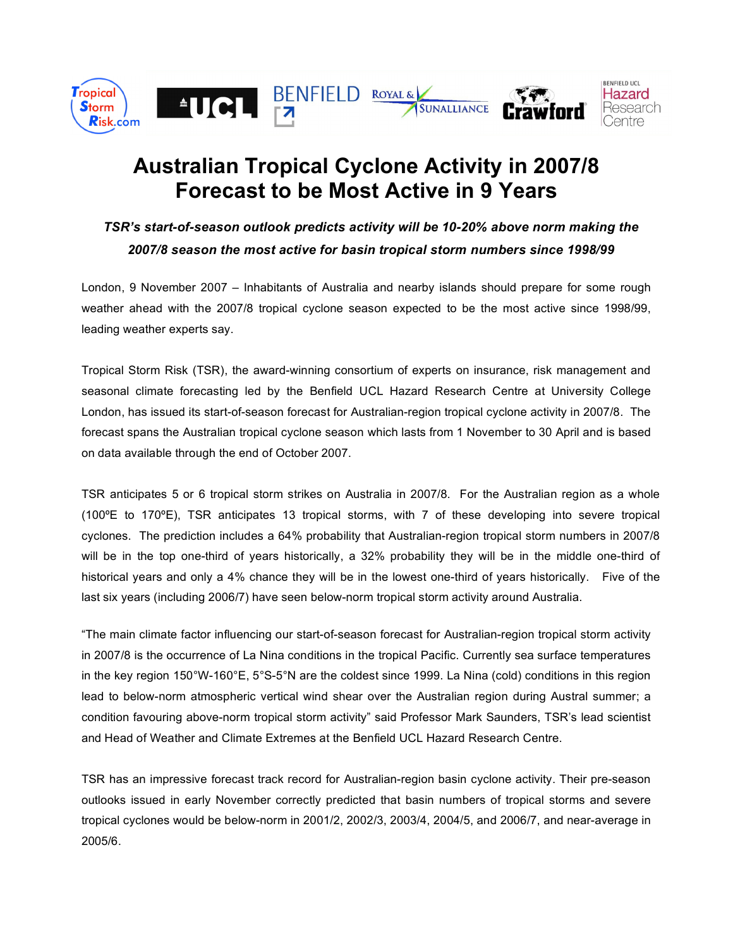

## **Australian Tropical Cyclone Activity in 2007/8 Forecast to be Most Active in 9 Years**

*TSR's start-of-season outlook predicts activity will be 10-20% above norm making the 2007/8 season the most active for basin tropical storm numbers since 1998/99*

London, 9 November 2007 – Inhabitants of Australia and nearby islands should prepare for some rough weather ahead with the 2007/8 tropical cyclone season expected to be the most active since 1998/99, leading weather experts say.

Tropical Storm Risk (TSR), the award-winning consortium of experts on insurance, risk management and seasonal climate forecasting led by the Benfield UCL Hazard Research Centre at University College London, has issued its start-of-season forecast for Australian-region tropical cyclone activity in 2007/8. The forecast spans the Australian tropical cyclone season which lasts from 1 November to 30 April and is based on data available through the end of October 2007.

TSR anticipates 5 or 6 tropical storm strikes on Australia in 2007/8. For the Australian region as a whole (100ºE to 170ºE), TSR anticipates 13 tropical storms, with 7 of these developing into severe tropical cyclones. The prediction includes a 64% probability that Australian-region tropical storm numbers in 2007/8 will be in the top one-third of years historically, a 32% probability they will be in the middle one-third of historical years and only a 4% chance they will be in the lowest one-third of years historically. Five of the last six years (including 2006/7) have seen below-norm tropical storm activity around Australia.

"The main climate factor influencing our start-of-season forecast for Australian-region tropical storm activity in 2007/8 is the occurrence of La Nina conditions in the tropical Pacific. Currently sea surface temperatures in the key region 150°W-160°E, 5°S-5°N are the coldest since 1999. La Nina (cold) conditions in this region lead to below-norm atmospheric vertical wind shear over the Australian region during Austral summer; a condition favouring above-norm tropical storm activity" said Professor Mark Saunders, TSR's lead scientist and Head of Weather and Climate Extremes at the Benfield UCL Hazard Research Centre.

TSR has an impressive forecast track record for Australian-region basin cyclone activity. Their pre-season outlooks issued in early November correctly predicted that basin numbers of tropical storms and severe tropical cyclones would be below-norm in 2001/2, 2002/3, 2003/4, 2004/5, and 2006/7, and near-average in 2005/6.